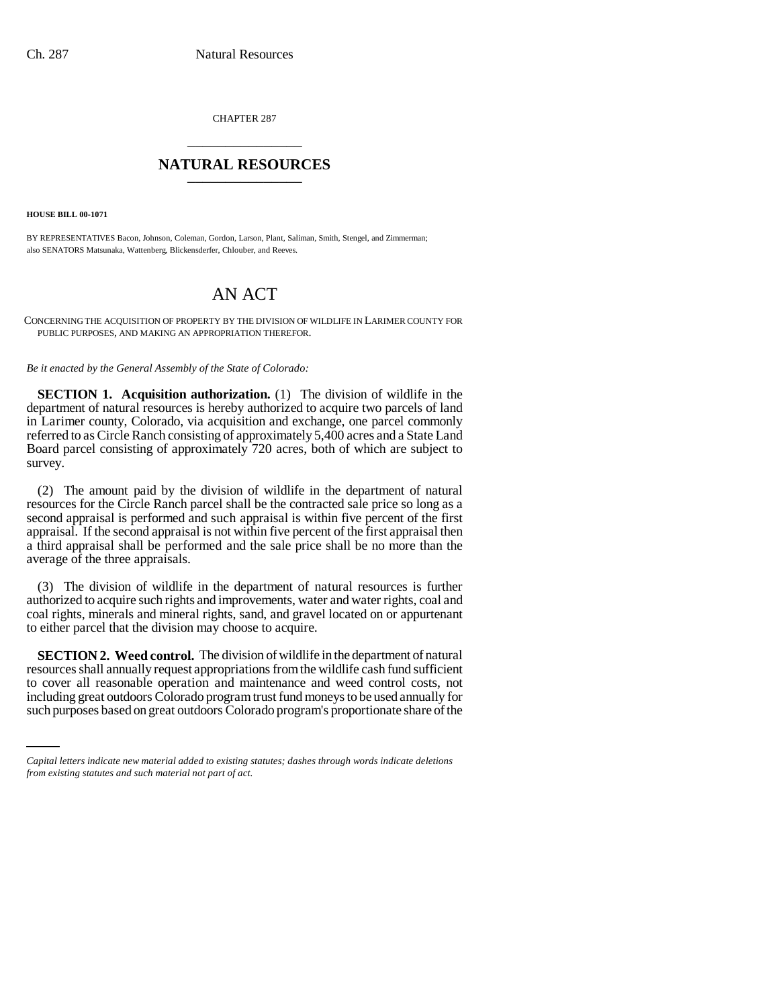CHAPTER 287 \_\_\_\_\_\_\_\_\_\_\_\_\_\_\_

## **NATURAL RESOURCES** \_\_\_\_\_\_\_\_\_\_\_\_\_\_\_

**HOUSE BILL 00-1071**

BY REPRESENTATIVES Bacon, Johnson, Coleman, Gordon, Larson, Plant, Saliman, Smith, Stengel, and Zimmerman; also SENATORS Matsunaka, Wattenberg, Blickensderfer, Chlouber, and Reeves.

## AN ACT

CONCERNING THE ACQUISITION OF PROPERTY BY THE DIVISION OF WILDLIFE IN LARIMER COUNTY FOR PUBLIC PURPOSES, AND MAKING AN APPROPRIATION THEREFOR.

*Be it enacted by the General Assembly of the State of Colorado:*

**SECTION 1. Acquisition authorization.** (1) The division of wildlife in the department of natural resources is hereby authorized to acquire two parcels of land in Larimer county, Colorado, via acquisition and exchange, one parcel commonly referred to as Circle Ranch consisting of approximately 5,400 acres and a State Land Board parcel consisting of approximately 720 acres, both of which are subject to survey.

(2) The amount paid by the division of wildlife in the department of natural resources for the Circle Ranch parcel shall be the contracted sale price so long as a second appraisal is performed and such appraisal is within five percent of the first appraisal. If the second appraisal is not within five percent of the first appraisal then a third appraisal shall be performed and the sale price shall be no more than the average of the three appraisals.

(3) The division of wildlife in the department of natural resources is further authorized to acquire such rights and improvements, water and water rights, coal and coal rights, minerals and mineral rights, sand, and gravel located on or appurtenant to either parcel that the division may choose to acquire.

to cover all reasonable operation and maintenance and weed control costs, not **SECTION 2. Weed control.** The division of wildlife in the department of natural resources shall annually request appropriations from the wildlife cash fund sufficient including great outdoors Colorado program trust fund moneys to be used annually for such purposes based on great outdoors Colorado program's proportionate share of the

*Capital letters indicate new material added to existing statutes; dashes through words indicate deletions from existing statutes and such material not part of act.*